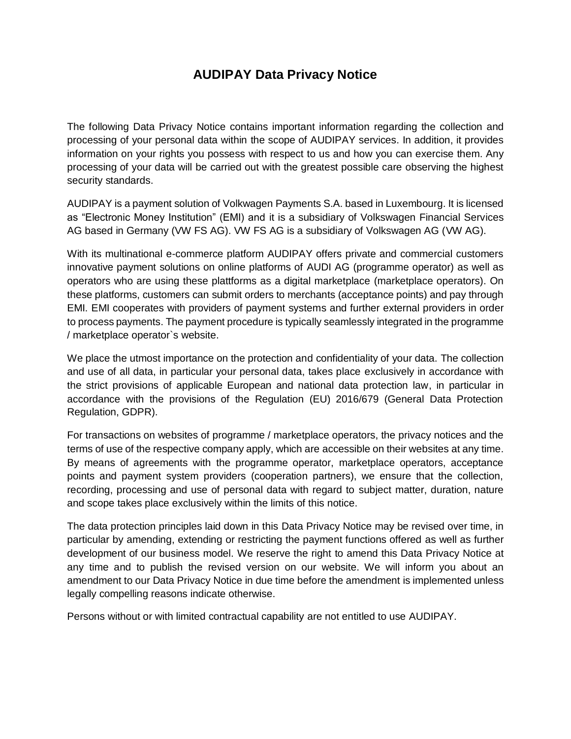# **AUDIPAY Data Privacy Notice**

The following Data Privacy Notice contains important information regarding the collection and processing of your personal data within the scope of AUDIPAY services. In addition, it provides information on your rights you possess with respect to us and how you can exercise them. Any processing of your data will be carried out with the greatest possible care observing the highest security standards.

AUDIPAY is a payment solution of Volkwagen Payments S.A. based in Luxembourg. It is licensed as "Electronic Money Institution" (EMI) and it is a subsidiary of Volkswagen Financial Services AG based in Germany (VW FS AG). VW FS AG is a subsidiary of Volkswagen AG (VW AG).

With its multinational e-commerce platform AUDIPAY offers private and commercial customers innovative payment solutions on online platforms of AUDI AG (programme operator) as well as operators who are using these plattforms as a digital marketplace (marketplace operators). On these platforms, customers can submit orders to merchants (acceptance points) and pay through EMI. EMI cooperates with providers of payment systems and further external providers in order to process payments. The payment procedure is typically seamlessly integrated in the programme / marketplace operator`s website.

We place the utmost importance on the protection and confidentiality of your data. The collection and use of all data, in particular your personal data, takes place exclusively in accordance with the strict provisions of applicable European and national data protection law, in particular in accordance with the provisions of the Regulation (EU) 2016/679 (General Data Protection Regulation, GDPR).

For transactions on websites of programme / marketplace operators, the privacy notices and the terms of use of the respective company apply, which are accessible on their websites at any time. By means of agreements with the programme operator, marketplace operators, acceptance points and payment system providers (cooperation partners), we ensure that the collection, recording, processing and use of personal data with regard to subject matter, duration, nature and scope takes place exclusively within the limits of this notice.

The data protection principles laid down in this Data Privacy Notice may be revised over time, in particular by amending, extending or restricting the payment functions offered as well as further development of our business model. We reserve the right to amend this Data Privacy Notice at any time and to publish the revised version on our website. We will inform you about an amendment to our Data Privacy Notice in due time before the amendment is implemented unless legally compelling reasons indicate otherwise.

Persons without or with limited contractual capability are not entitled to use AUDIPAY.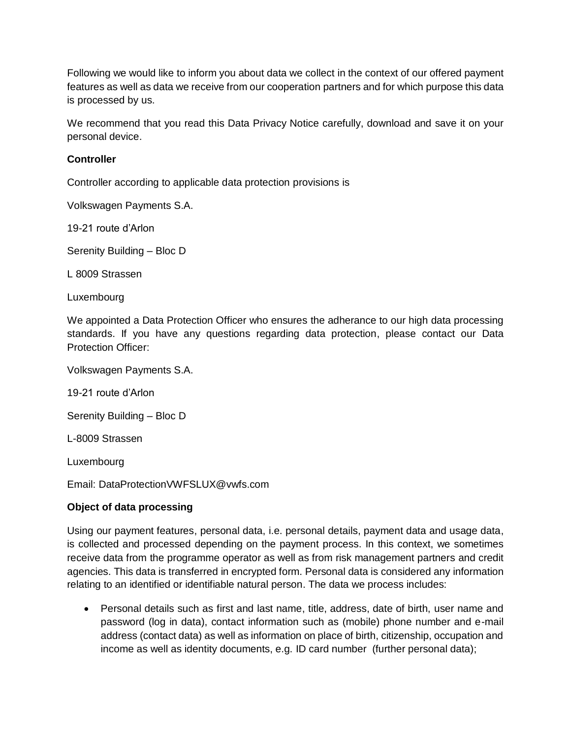Following we would like to inform you about data we collect in the context of our offered payment features as well as data we receive from our cooperation partners and for which purpose this data is processed by us.

We recommend that you read this Data Privacy Notice carefully, download and save it on your personal device.

### **Controller**

Controller according to applicable data protection provisions is

Volkswagen Payments S.A.

19-21 route d'Arlon

Serenity Building – Bloc D

L 8009 Strassen

Luxembourg

We appointed a Data Protection Officer who ensures the adherance to our high data processing standards. If you have any questions regarding data protection, please contact our Data Protection Officer:

Volkswagen Payments S.A.

19-21 route d'Arlon

Serenity Building – Bloc D

L-8009 Strassen

Luxembourg

Email: DataProtectionVWFSLUX@vwfs.com

#### **Object of data processing**

Using our payment features, personal data, i.e. personal details, payment data and usage data, is collected and processed depending on the payment process. In this context, we sometimes receive data from the programme operator as well as from risk management partners and credit agencies. This data is transferred in encrypted form. Personal data is considered any information relating to an identified or identifiable natural person. The data we process includes:

 Personal details such as first and last name, title, address, date of birth, user name and password (log in data), contact information such as (mobile) phone number and e-mail address (contact data) as well as information on place of birth, citizenship, occupation and income as well as identity documents, e.g. ID card number (further personal data);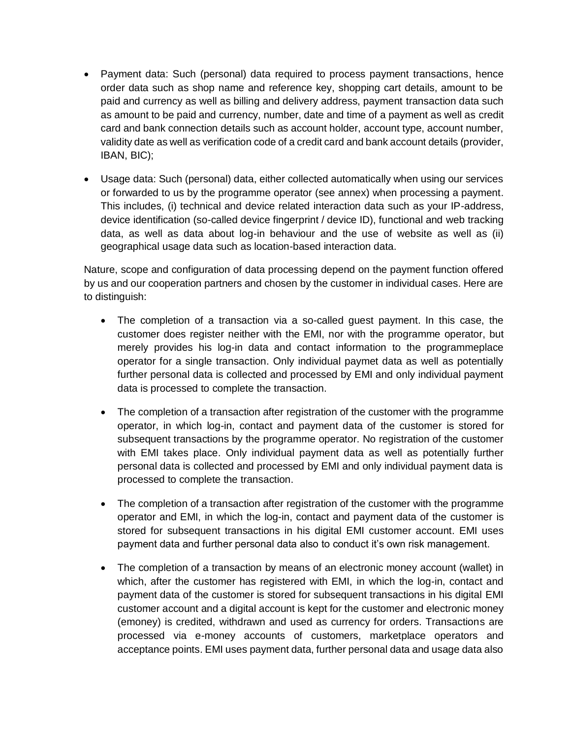- Payment data: Such (personal) data required to process payment transactions, hence order data such as shop name and reference key, shopping cart details, amount to be paid and currency as well as billing and delivery address, payment transaction data such as amount to be paid and currency, number, date and time of a payment as well as credit card and bank connection details such as account holder, account type, account number, validity date as well as verification code of a credit card and bank account details (provider, IBAN, BIC);
- Usage data: Such (personal) data, either collected automatically when using our services or forwarded to us by the programme operator (see annex) when processing a payment. This includes, (i) technical and device related interaction data such as your IP-address, device identification (so-called device fingerprint / device ID), functional and web tracking data, as well as data about log-in behaviour and the use of website as well as (ii) geographical usage data such as location-based interaction data.

Nature, scope and configuration of data processing depend on the payment function offered by us and our cooperation partners and chosen by the customer in individual cases. Here are to distinguish:

- The completion of a transaction via a so-called guest payment. In this case, the customer does register neither with the EMI, nor with the programme operator, but merely provides his log-in data and contact information to the programmeplace operator for a single transaction. Only individual paymet data as well as potentially further personal data is collected and processed by EMI and only individual payment data is processed to complete the transaction.
- The completion of a transaction after registration of the customer with the programme operator, in which log-in, contact and payment data of the customer is stored for subsequent transactions by the programme operator. No registration of the customer with EMI takes place. Only individual payment data as well as potentially further personal data is collected and processed by EMI and only individual payment data is processed to complete the transaction.
- The completion of a transaction after registration of the customer with the programme operator and EMI, in which the log-in, contact and payment data of the customer is stored for subsequent transactions in his digital EMI customer account. EMI uses payment data and further personal data also to conduct it's own risk management.
- The completion of a transaction by means of an electronic money account (wallet) in which, after the customer has registered with EMI, in which the log-in, contact and payment data of the customer is stored for subsequent transactions in his digital EMI customer account and a digital account is kept for the customer and electronic money (emoney) is credited, withdrawn and used as currency for orders. Transactions are processed via e-money accounts of customers, marketplace operators and acceptance points. EMI uses payment data, further personal data and usage data also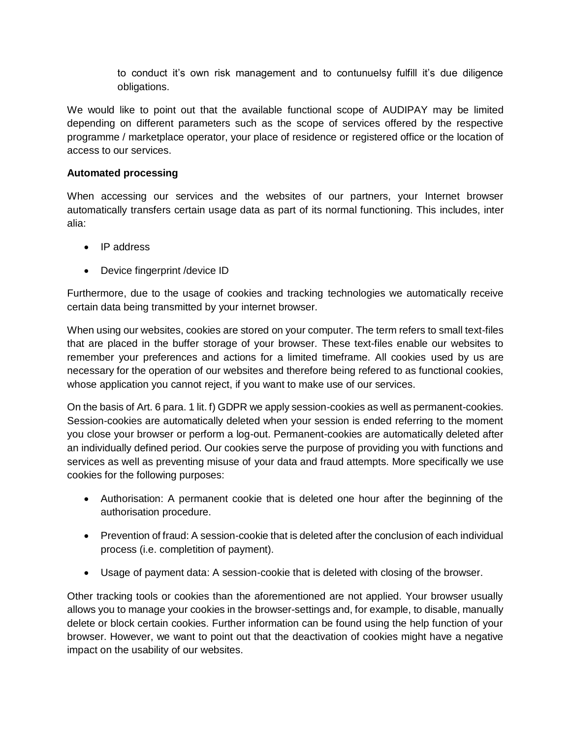to conduct it's own risk management and to contunuelsy fulfill it's due diligence obligations.

We would like to point out that the available functional scope of AUDIPAY may be limited depending on different parameters such as the scope of services offered by the respective programme / marketplace operator, your place of residence or registered office or the location of access to our services.

#### **Automated processing**

When accessing our services and the websites of our partners, your Internet browser automatically transfers certain usage data as part of its normal functioning. This includes, inter alia:

- IP address
- Device fingerprint /device ID

Furthermore, due to the usage of cookies and tracking technologies we automatically receive certain data being transmitted by your internet browser.

When using our websites, cookies are stored on your computer. The term refers to small text-files that are placed in the buffer storage of your browser. These text-files enable our websites to remember your preferences and actions for a limited timeframe. All cookies used by us are necessary for the operation of our websites and therefore being refered to as functional cookies, whose application you cannot reject, if you want to make use of our services.

On the basis of Art. 6 para. 1 lit. f) GDPR we apply session-cookies as well as permanent-cookies. Session-cookies are automatically deleted when your session is ended referring to the moment you close your browser or perform a log-out. Permanent-cookies are automatically deleted after an individually defined period. Our cookies serve the purpose of providing you with functions and services as well as preventing misuse of your data and fraud attempts. More specifically we use cookies for the following purposes:

- Authorisation: A permanent cookie that is deleted one hour after the beginning of the authorisation procedure.
- Prevention of fraud: A session-cookie that is deleted after the conclusion of each individual process (i.e. completition of payment).
- Usage of payment data: A session-cookie that is deleted with closing of the browser.

Other tracking tools or cookies than the aforementioned are not applied. Your browser usually allows you to manage your cookies in the browser-settings and, for example, to disable, manually delete or block certain cookies. Further information can be found using the help function of your browser. However, we want to point out that the deactivation of cookies might have a negative impact on the usability of our websites.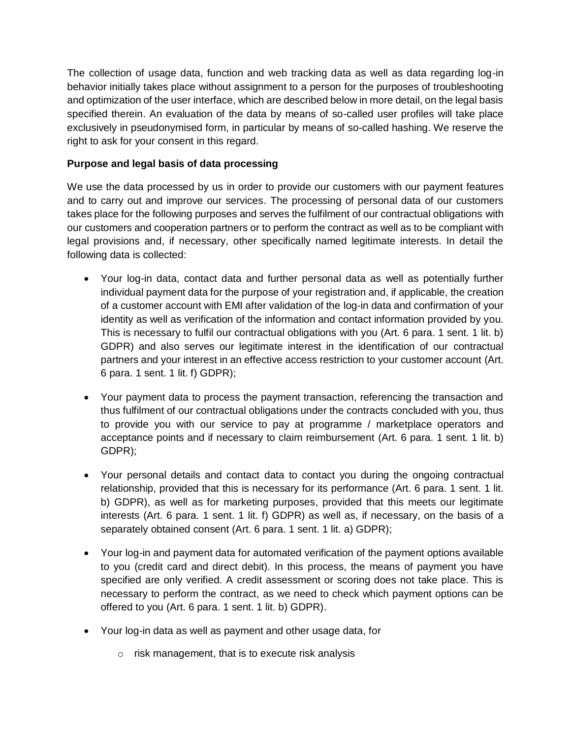The collection of usage data, function and web tracking data as well as data regarding log-in behavior initially takes place without assignment to a person for the purposes of troubleshooting and optimization of the user interface, which are described below in more detail, on the legal basis specified therein. An evaluation of the data by means of so-called user profiles will take place exclusively in pseudonymised form, in particular by means of so-called hashing. We reserve the right to ask for your consent in this regard.

# **Purpose and legal basis of data processing**

We use the data processed by us in order to provide our customers with our payment features and to carry out and improve our services. The processing of personal data of our customers takes place for the following purposes and serves the fulfilment of our contractual obligations with our customers and cooperation partners or to perform the contract as well as to be compliant with legal provisions and, if necessary, other specifically named legitimate interests. In detail the following data is collected:

- Your log-in data, contact data and further personal data as well as potentially further individual payment data for the purpose of your registration and, if applicable, the creation of a customer account with EMI after validation of the log-in data and confirmation of your identity as well as verification of the information and contact information provided by you. This is necessary to fulfil our contractual obligations with you (Art. 6 para. 1 sent. 1 lit. b) GDPR) and also serves our legitimate interest in the identification of our contractual partners and your interest in an effective access restriction to your customer account (Art. 6 para. 1 sent. 1 lit. f) GDPR);
- Your payment data to process the payment transaction, referencing the transaction and thus fulfilment of our contractual obligations under the contracts concluded with you, thus to provide you with our service to pay at programme / marketplace operators and acceptance points and if necessary to claim reimbursement (Art. 6 para. 1 sent. 1 lit. b) GDPR);
- Your personal details and contact data to contact you during the ongoing contractual relationship, provided that this is necessary for its performance (Art. 6 para. 1 sent. 1 lit. b) GDPR), as well as for marketing purposes, provided that this meets our legitimate interests (Art. 6 para. 1 sent. 1 lit. f) GDPR) as well as, if necessary, on the basis of a separately obtained consent (Art. 6 para. 1 sent. 1 lit. a) GDPR);
- Your log-in and payment data for automated verification of the payment options available to you (credit card and direct debit). In this process, the means of payment you have specified are only verified. A credit assessment or scoring does not take place. This is necessary to perform the contract, as we need to check which payment options can be offered to you (Art. 6 para. 1 sent. 1 lit. b) GDPR).
- Your log-in data as well as payment and other usage data, for
	- o risk management, that is to execute risk analysis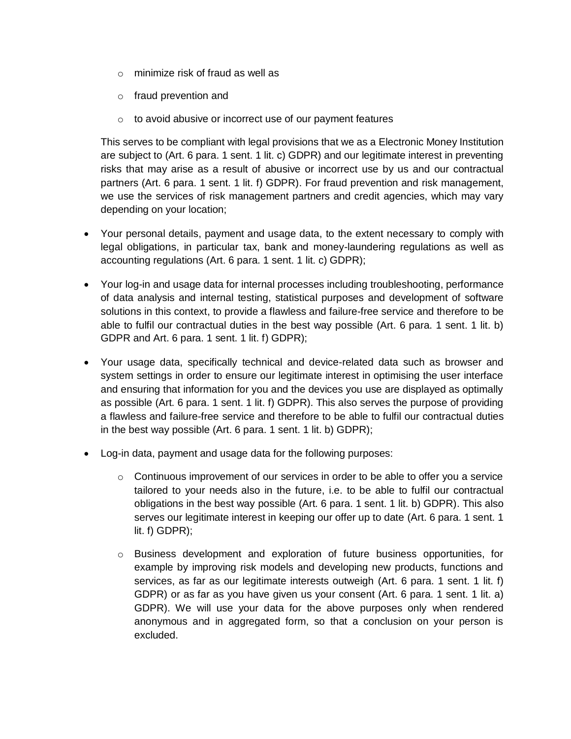- o minimize risk of fraud as well as
- o fraud prevention and
- o to avoid abusive or incorrect use of our payment features

This serves to be compliant with legal provisions that we as a Electronic Money Institution are subject to (Art. 6 para. 1 sent. 1 lit. c) GDPR) and our legitimate interest in preventing risks that may arise as a result of abusive or incorrect use by us and our contractual partners (Art. 6 para. 1 sent. 1 lit. f) GDPR). For fraud prevention and risk management, we use the services of risk management partners and credit agencies, which may vary depending on your location;

- Your personal details, payment and usage data, to the extent necessary to comply with legal obligations, in particular tax, bank and money-laundering regulations as well as accounting regulations (Art. 6 para. 1 sent. 1 lit. c) GDPR);
- Your log-in and usage data for internal processes including troubleshooting, performance of data analysis and internal testing, statistical purposes and development of software solutions in this context, to provide a flawless and failure-free service and therefore to be able to fulfil our contractual duties in the best way possible (Art. 6 para. 1 sent. 1 lit. b) GDPR and Art. 6 para. 1 sent. 1 lit. f) GDPR);
- Your usage data, specifically technical and device-related data such as browser and system settings in order to ensure our legitimate interest in optimising the user interface and ensuring that information for you and the devices you use are displayed as optimally as possible (Art. 6 para. 1 sent. 1 lit. f) GDPR). This also serves the purpose of providing a flawless and failure-free service and therefore to be able to fulfil our contractual duties in the best way possible (Art. 6 para. 1 sent. 1 lit. b) GDPR);
- Log-in data, payment and usage data for the following purposes:
	- $\circ$  Continuous improvement of our services in order to be able to offer you a service tailored to your needs also in the future, i.e. to be able to fulfil our contractual obligations in the best way possible (Art. 6 para. 1 sent. 1 lit. b) GDPR). This also serves our legitimate interest in keeping our offer up to date (Art. 6 para. 1 sent. 1 lit. f) GDPR);
	- o Business development and exploration of future business opportunities, for example by improving risk models and developing new products, functions and services, as far as our legitimate interests outweigh (Art. 6 para. 1 sent. 1 lit. f) GDPR) or as far as you have given us your consent (Art. 6 para. 1 sent. 1 lit. a) GDPR). We will use your data for the above purposes only when rendered anonymous and in aggregated form, so that a conclusion on your person is excluded.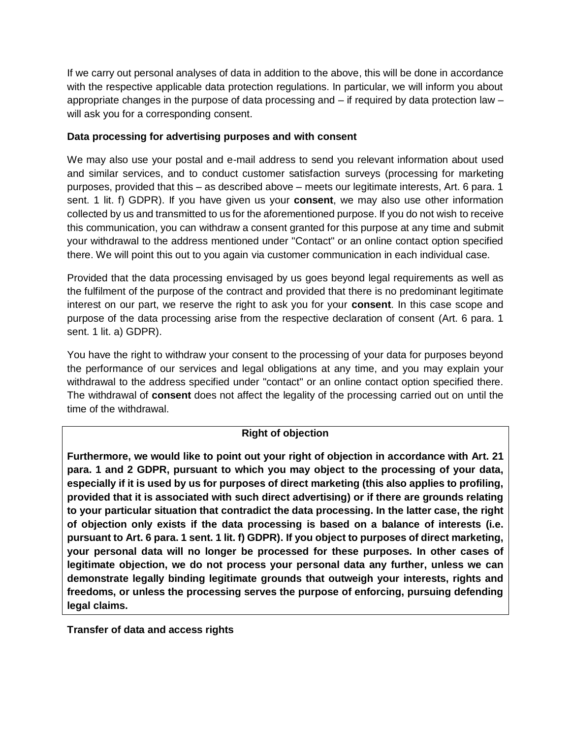If we carry out personal analyses of data in addition to the above, this will be done in accordance with the respective applicable data protection regulations. In particular, we will inform you about appropriate changes in the purpose of data processing and – if required by data protection law – will ask you for a corresponding consent.

### **Data processing for advertising purposes and with consent**

We may also use your postal and e-mail address to send you relevant information about used and similar services, and to conduct customer satisfaction surveys (processing for marketing purposes, provided that this – as described above – meets our legitimate interests, Art. 6 para. 1 sent. 1 lit. f) GDPR). If you have given us your **consent**, we may also use other information collected by us and transmitted to us for the aforementioned purpose. If you do not wish to receive this communication, you can withdraw a consent granted for this purpose at any time and submit your withdrawal to the address mentioned under "Contact" or an online contact option specified there. We will point this out to you again via customer communication in each individual case.

Provided that the data processing envisaged by us goes beyond legal requirements as well as the fulfilment of the purpose of the contract and provided that there is no predominant legitimate interest on our part, we reserve the right to ask you for your **consent**. In this case scope and purpose of the data processing arise from the respective declaration of consent (Art. 6 para. 1 sent. 1 lit. a) GDPR).

You have the right to withdraw your consent to the processing of your data for purposes beyond the performance of our services and legal obligations at any time, and you may explain your withdrawal to the address specified under "contact" or an online contact option specified there. The withdrawal of **consent** does not affect the legality of the processing carried out on until the time of the withdrawal.

# **Right of objection**

**Furthermore, we would like to point out your right of objection in accordance with Art. 21 para. 1 and 2 GDPR, pursuant to which you may object to the processing of your data, especially if it is used by us for purposes of direct marketing (this also applies to profiling, provided that it is associated with such direct advertising) or if there are grounds relating to your particular situation that contradict the data processing. In the latter case, the right of objection only exists if the data processing is based on a balance of interests (i.e. pursuant to Art. 6 para. 1 sent. 1 lit. f) GDPR). If you object to purposes of direct marketing, your personal data will no longer be processed for these purposes. In other cases of legitimate objection, we do not process your personal data any further, unless we can demonstrate legally binding legitimate grounds that outweigh your interests, rights and freedoms, or unless the processing serves the purpose of enforcing, pursuing defending legal claims.**

**Transfer of data and access rights**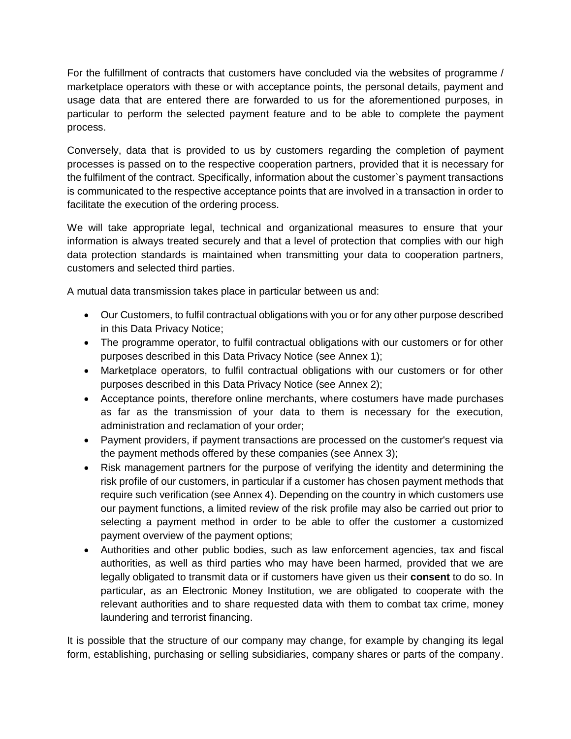For the fulfillment of contracts that customers have concluded via the websites of programme / marketplace operators with these or with acceptance points, the personal details, payment and usage data that are entered there are forwarded to us for the aforementioned purposes, in particular to perform the selected payment feature and to be able to complete the payment process.

Conversely, data that is provided to us by customers regarding the completion of payment processes is passed on to the respective cooperation partners, provided that it is necessary for the fulfilment of the contract. Specifically, information about the customer`s payment transactions is communicated to the respective acceptance points that are involved in a transaction in order to facilitate the execution of the ordering process.

We will take appropriate legal, technical and organizational measures to ensure that your information is always treated securely and that a level of protection that complies with our high data protection standards is maintained when transmitting your data to cooperation partners, customers and selected third parties.

A mutual data transmission takes place in particular between us and:

- Our Customers, to fulfil contractual obligations with you or for any other purpose described in this Data Privacy Notice;
- The programme operator, to fulfil contractual obligations with our customers or for other purposes described in this Data Privacy Notice (see Annex 1);
- Marketplace operators, to fulfil contractual obligations with our customers or for other purposes described in this Data Privacy Notice (see Annex 2);
- Acceptance points, therefore online merchants, where costumers have made purchases as far as the transmission of your data to them is necessary for the execution, administration and reclamation of your order;
- Payment providers, if payment transactions are processed on the customer's request via the payment methods offered by these companies (see Annex 3);
- Risk management partners for the purpose of verifying the identity and determining the risk profile of our customers, in particular if a customer has chosen payment methods that require such verification (see Annex 4). Depending on the country in which customers use our payment functions, a limited review of the risk profile may also be carried out prior to selecting a payment method in order to be able to offer the customer a customized payment overview of the payment options;
- Authorities and other public bodies, such as law enforcement agencies, tax and fiscal authorities, as well as third parties who may have been harmed, provided that we are legally obligated to transmit data or if customers have given us their **consent** to do so. In particular, as an Electronic Money Institution, we are obligated to cooperate with the relevant authorities and to share requested data with them to combat tax crime, money laundering and terrorist financing.

It is possible that the structure of our company may change, for example by changing its legal form, establishing, purchasing or selling subsidiaries, company shares or parts of the company.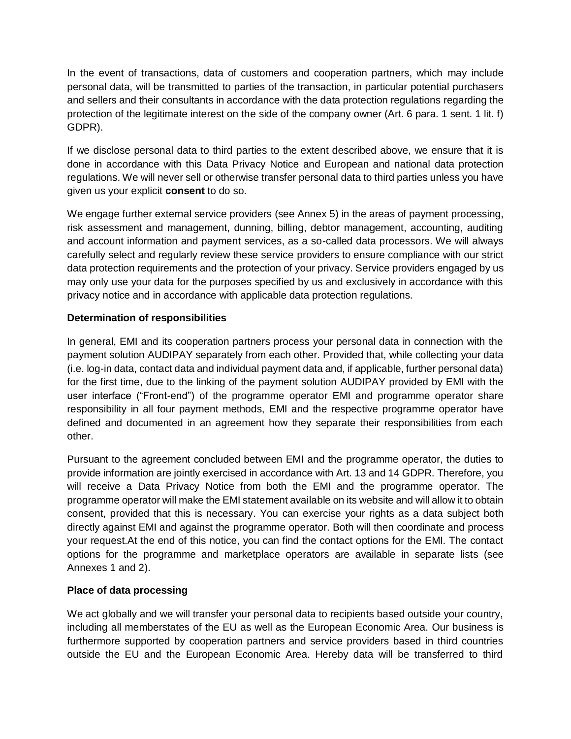In the event of transactions, data of customers and cooperation partners, which may include personal data, will be transmitted to parties of the transaction, in particular potential purchasers and sellers and their consultants in accordance with the data protection regulations regarding the protection of the legitimate interest on the side of the company owner (Art. 6 para. 1 sent. 1 lit. f) GDPR).

If we disclose personal data to third parties to the extent described above, we ensure that it is done in accordance with this Data Privacy Notice and European and national data protection regulations. We will never sell or otherwise transfer personal data to third parties unless you have given us your explicit **consent** to do so.

We engage further external service providers (see Annex 5) in the areas of payment processing, risk assessment and management, dunning, billing, debtor management, accounting, auditing and account information and payment services, as a so-called data processors. We will always carefully select and regularly review these service providers to ensure compliance with our strict data protection requirements and the protection of your privacy. Service providers engaged by us may only use your data for the purposes specified by us and exclusively in accordance with this privacy notice and in accordance with applicable data protection regulations.

# **Determination of responsibilities**

In general, EMI and its cooperation partners process your personal data in connection with the payment solution AUDIPAY separately from each other. Provided that, while collecting your data (i.e. log-in data, contact data and individual payment data and, if applicable, further personal data) for the first time, due to the linking of the payment solution AUDIPAY provided by EMI with the user interface ("Front-end") of the programme operator EMI and programme operator share responsibility in all four payment methods, EMI and the respective programme operator have defined and documented in an agreement how they separate their responsibilities from each other.

Pursuant to the agreement concluded between EMI and the programme operator, the duties to provide information are jointly exercised in accordance with Art. 13 and 14 GDPR. Therefore, you will receive a Data Privacy Notice from both the EMI and the programme operator. The programme operator will make the EMI statement available on its website and will allow it to obtain consent, provided that this is necessary. You can exercise your rights as a data subject both directly against EMI and against the programme operator. Both will then coordinate and process your request.At the end of this notice, you can find the contact options for the EMI. The contact options for the programme and marketplace operators are available in separate lists (see Annexes 1 and 2).

# **Place of data processing**

We act globally and we will transfer your personal data to recipients based outside your country, including all memberstates of the EU as well as the European Economic Area. Our business is furthermore supported by cooperation partners and service providers based in third countries outside the EU and the European Economic Area. Hereby data will be transferred to third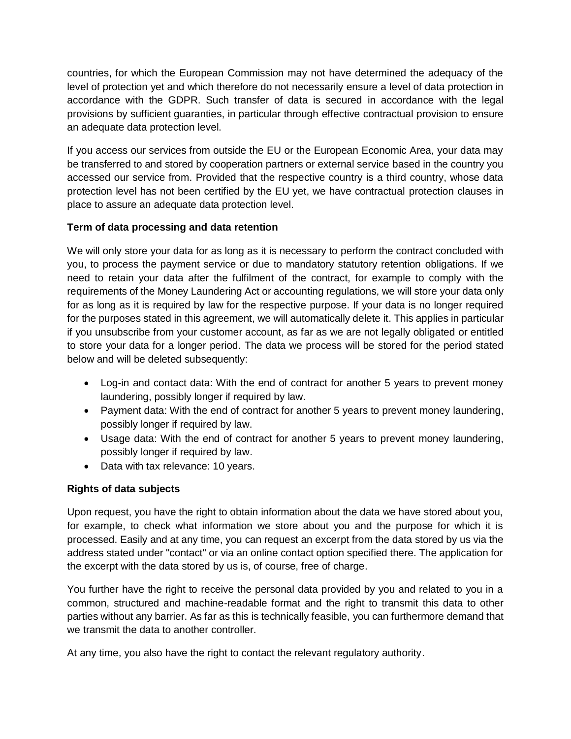countries, for which the European Commission may not have determined the adequacy of the level of protection yet and which therefore do not necessarily ensure a level of data protection in accordance with the GDPR. Such transfer of data is secured in accordance with the legal provisions by sufficient guaranties, in particular through effective contractual provision to ensure an adequate data protection level.

If you access our services from outside the EU or the European Economic Area, your data may be transferred to and stored by cooperation partners or external service based in the country you accessed our service from. Provided that the respective country is a third country, whose data protection level has not been certified by the EU yet, we have contractual protection clauses in place to assure an adequate data protection level.

# **Term of data processing and data retention**

We will only store your data for as long as it is necessary to perform the contract concluded with you, to process the payment service or due to mandatory statutory retention obligations. If we need to retain your data after the fulfilment of the contract, for example to comply with the requirements of the Money Laundering Act or accounting regulations, we will store your data only for as long as it is required by law for the respective purpose. If your data is no longer required for the purposes stated in this agreement, we will automatically delete it. This applies in particular if you unsubscribe from your customer account, as far as we are not legally obligated or entitled to store your data for a longer period. The data we process will be stored for the period stated below and will be deleted subsequently:

- Log-in and contact data: With the end of contract for another 5 years to prevent money laundering, possibly longer if required by law.
- Payment data: With the end of contract for another 5 years to prevent money laundering, possibly longer if required by law.
- Usage data: With the end of contract for another 5 years to prevent money laundering, possibly longer if required by law.
- Data with tax relevance: 10 years.

# **Rights of data subjects**

Upon request, you have the right to obtain information about the data we have stored about you, for example, to check what information we store about you and the purpose for which it is processed. Easily and at any time, you can request an excerpt from the data stored by us via the address stated under "contact" or via an online contact option specified there. The application for the excerpt with the data stored by us is, of course, free of charge.

You further have the right to receive the personal data provided by you and related to you in a common, structured and machine-readable format and the right to transmit this data to other parties without any barrier. As far as this is technically feasible, you can furthermore demand that we transmit the data to another controller.

At any time, you also have the right to contact the relevant regulatory authority.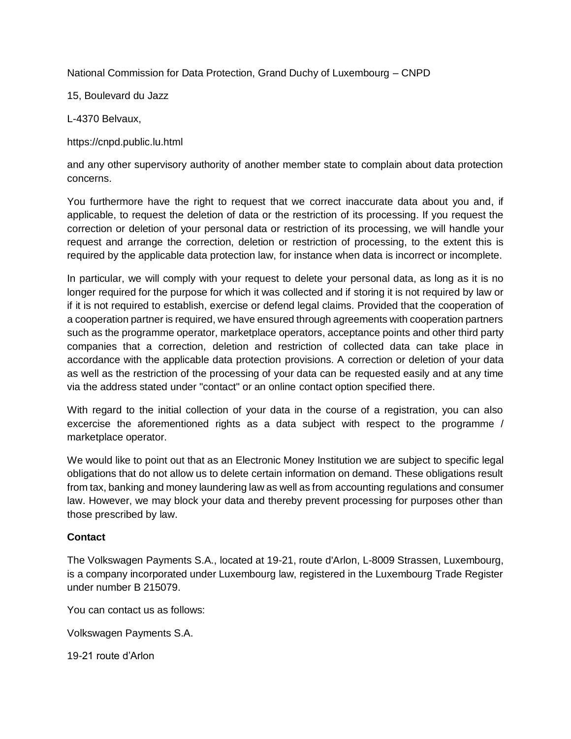National Commission for Data Protection, Grand Duchy of Luxembourg – CNPD

15, Boulevard du Jazz

L-4370 Belvaux,

https://cnpd.public.lu.html

and any other supervisory authority of another member state to complain about data protection concerns.

You furthermore have the right to request that we correct inaccurate data about you and, if applicable, to request the deletion of data or the restriction of its processing. If you request the correction or deletion of your personal data or restriction of its processing, we will handle your request and arrange the correction, deletion or restriction of processing, to the extent this is required by the applicable data protection law, for instance when data is incorrect or incomplete.

In particular, we will comply with your request to delete your personal data, as long as it is no longer required for the purpose for which it was collected and if storing it is not required by law or if it is not required to establish, exercise or defend legal claims. Provided that the cooperation of a cooperation partner is required, we have ensured through agreements with cooperation partners such as the programme operator, marketplace operators, acceptance points and other third party companies that a correction, deletion and restriction of collected data can take place in accordance with the applicable data protection provisions. A correction or deletion of your data as well as the restriction of the processing of your data can be requested easily and at any time via the address stated under "contact" or an online contact option specified there.

With regard to the initial collection of your data in the course of a registration, you can also excercise the aforementioned rights as a data subject with respect to the programme / marketplace operator.

We would like to point out that as an Electronic Money Institution we are subject to specific legal obligations that do not allow us to delete certain information on demand. These obligations result from tax, banking and money laundering law as well as from accounting regulations and consumer law. However, we may block your data and thereby prevent processing for purposes other than those prescribed by law.

# **Contact**

The Volkswagen Payments S.A., located at 19-21, route d'Arlon, L-8009 Strassen, Luxembourg, is a company incorporated under Luxembourg law, registered in the Luxembourg Trade Register under number B 215079.

You can contact us as follows:

Volkswagen Payments S.A.

19-21 route d'Arlon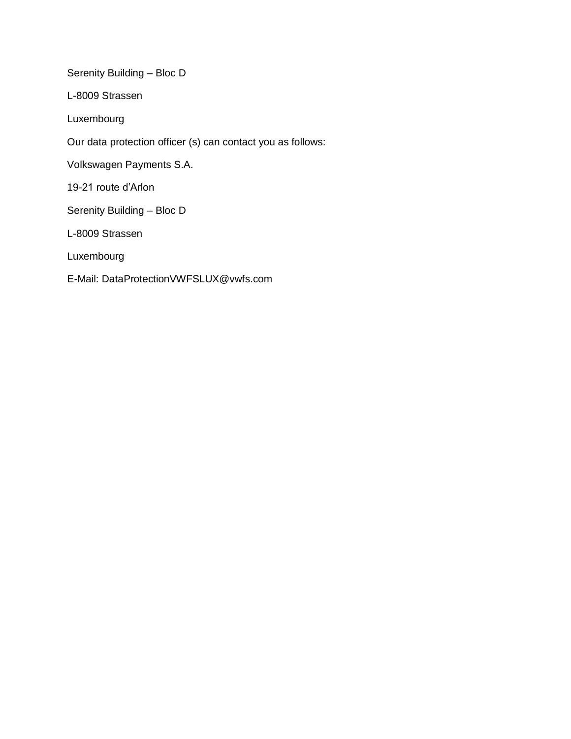Serenity Building – Bloc D

L-8009 Strassen

Luxembourg

Our data protection officer (s) can contact you as follows:

Volkswagen Payments S.A.

19-21 route d'Arlon

Serenity Building – Bloc D

L-8009 Strassen

Luxembourg

E-Mail: DataProtectionVWFSLUX@vwfs.com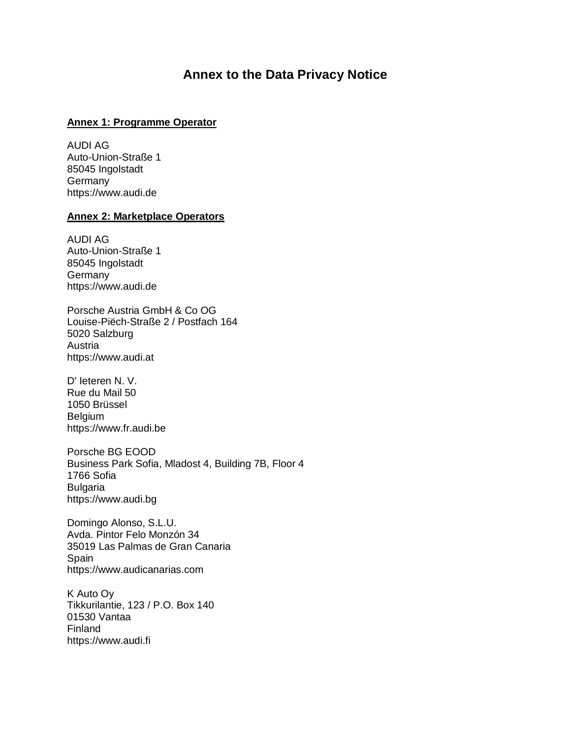# **Annex to the Data Privacy Notice**

#### **Annex 1: Programme Operator**

AUDI AG Auto-Union-Straße 1 85045 Ingolstadt Germany https:/[/www.audi.de](http://www.audi.de/)

#### **Annex 2: Marketplace Operators**

AUDI AG Auto-Union-Straße 1 85045 Ingolstadt Germany https:/[/www.audi.de](http://www.audi.de/)

Porsche Austria GmbH & Co OG Louise-Piëch-Straße 2 / Postfach 164 5020 Salzburg Austria https:/[/www.audi.at](http://www.audi.at/)

D' Ieteren N. V. Rue du Mail 50 1050 Brüssel Belgium https:/[/www.fr.audi.be](http://www.fr.audi.be/)

Porsche BG EOOD Business Park Sofia, Mladost 4, Building 7B, Floor 4 1766 Sofia Bulgaria https:/[/www.audi.bg](http://www.audi.bg/)

Domingo Alonso, S.L.U. Avda. Pintor Felo Monzón 34 35019 Las Palmas de Gran Canaria Spain https:/[/www.audicanarias.com](http://www.audicanarias.com/)

K Auto Oy Tikkurilantie, 123 / P.O. Box 140 01530 Vantaa Finland https:/[/www.audi.fi](http://www.audi.fi/)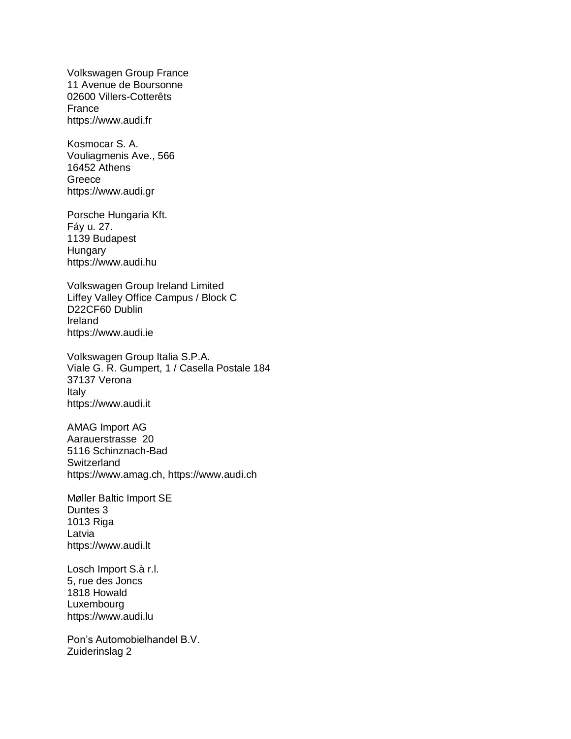Volkswagen Group France 11 Avenue de Boursonne 02600 Villers-Cotterêts France https:/[/www.audi.fr](http://www.audi.fr/)

Kosmocar S. A. Vouliagmenis Ave., 566 16452 Athens Greece https:/[/www.audi.gr](http://www.audi.gr/)

Porsche Hungaria Kft. Fáy u. 27. 1139 Budapest **Hungary** https:/[/www.audi.hu](http://www.audi.hu/)

Volkswagen Group Ireland Limited Liffey Valley Office Campus / Block C D22CF60 Dublin Ireland https:/[/www.audi.ie](http://www.audi.ie/)

Volkswagen Group Italia S.P.A. Viale G. R. Gumpert, 1 / Casella Postale 184 37137 Verona Italy https:/[/www.audi.it](http://www.audi.it/)

AMAG Import AG Aarauerstrasse 20 5116 Schinznach-Bad **Switzerland** https:/[/www.amag.ch,](http://www.amag.ch/) https:/[/www.audi.ch](http://www.audi.ch/)

Møller Baltic Import SE Duntes 3 1013 Riga Latvia https:/[/www.audi.lt](http://www.audi.lt/)

Losch Import S.à r.l. 5, rue des Joncs 1818 Howald Luxembourg https:/[/www.audi.lu](http://www.audi.lu/)

Pon's Automobielhandel B.V. Zuiderinslag 2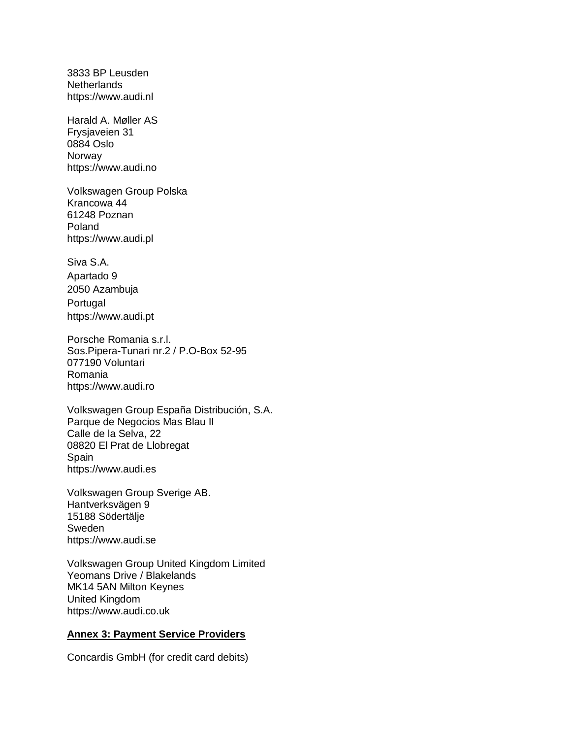3833 BP Leusden **Netherlands** https:/[/www.audi.nl](http://www.audi.nl/)

Harald A. Møller AS Frysjaveien 31 0884 Oslo Norway https:/[/www.audi.no](http://www.audi.no/)

Volkswagen Group Polska Krancowa 44 61248 Poznan Poland https:/[/www.audi.pl](http://www.audi.pl/)

Siva S.A. Apartado 9 2050 Azambuja Portugal https:/[/www.audi.pt](http://www.audi.pt/)

Porsche Romania s.r.l. Sos.Pipera-Tunari nr.2 / P.O-Box 52-95 077190 Voluntari Romania https:/[/www.audi.ro](http://www.audi.ro/)

Volkswagen Group España Distribución, S.A. Parque de Negocios Mas Blau II Calle de la Selva, 22 08820 El Prat de Llobregat Spain https:/[/www.audi.es](http://www.audi.es/)

Volkswagen Group Sverige AB. Hantverksvägen 9 15188 Södertälje Sweden https:/[/www.audi.se](http://www.audi.se/)

Volkswagen Group United Kingdom Limited Yeomans Drive / Blakelands MK14 5AN Milton Keynes United Kingdom https:/[/www.audi.co.uk](http://www.audi.co.uk/)

#### **Annex 3: Payment Service Providers**

Concardis GmbH (for credit card debits)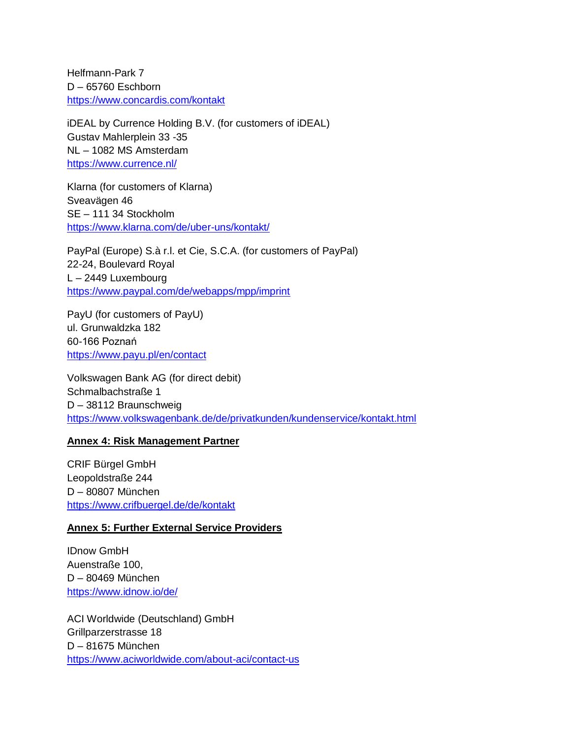Helfmann-Park 7 D – 65760 Eschborn <https://www.concardis.com/kontakt>

iDEAL by Currence Holding B.V. (for customers of iDEAL) Gustav Mahlerplein 33 -35 NL – 1082 MS Amsterdam [https://www.currence.nl/](https://www.currence.nl/en/)

Klarna (for customers of Klarna) Sveavägen 46 SE – 111 34 Stockholm <https://www.klarna.com/de/uber-uns/kontakt/>

PayPal (Europe) S.à r.l. et Cie, S.C.A. (for customers of PayPal) 22-24, Boulevard Royal L – 2449 Luxembourg <https://www.paypal.com/de/webapps/mpp/imprint>

PayU (for customers of PayU) ul. Grunwaldzka 182 60-166 Poznań <https://www.payu.pl/en/contact>

Volkswagen Bank AG (for direct debit) Schmalbachstraße 1 D – 38112 Braunschweig <https://www.volkswagenbank.de/de/privatkunden/kundenservice/kontakt.html>

#### **Annex 4: Risk Management Partner**

CRIF Bürgel GmbH Leopoldstraße 244 D – 80807 München <https://www.crifbuergel.de/de/kontakt>

#### **Annex 5: Further External Service Providers**

IDnow GmbH Auenstraße 100, D – 80469 München <https://www.idnow.io/de/>

ACI Worldwide (Deutschland) GmbH Grillparzerstrasse 18 D – 81675 München <https://www.aciworldwide.com/about-aci/contact-us>